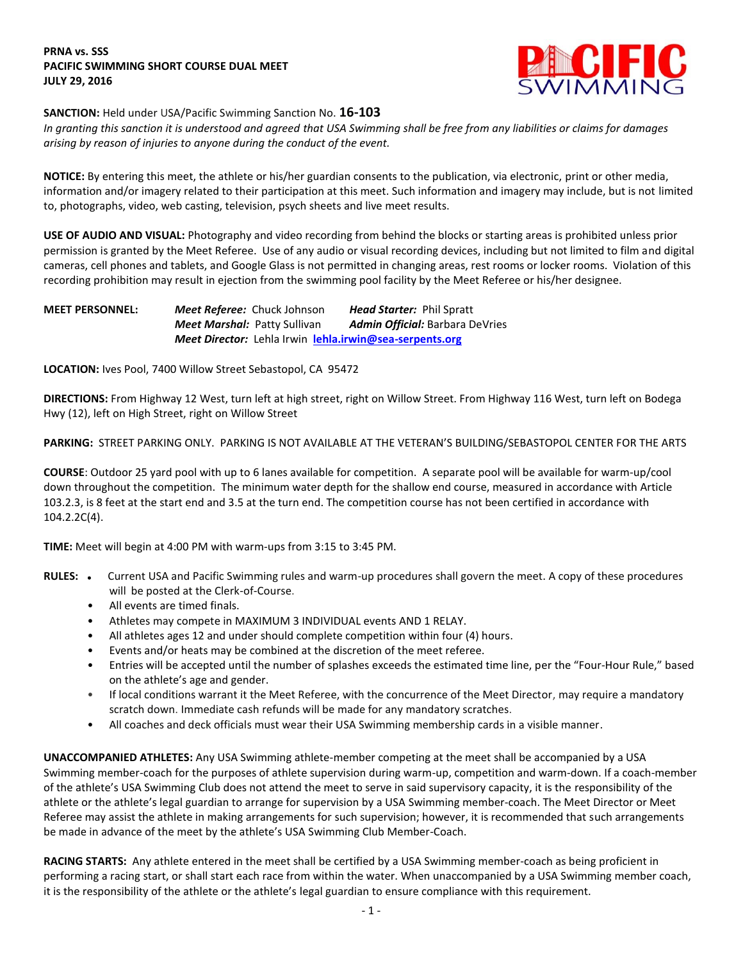# **PRNA vs. SSS PACIFIC SWIMMING SHORT COURSE DUAL MEET JULY 29, 2016**



# **SANCTION:** Held under USA/Pacific Swimming Sanction No. **16-103**

*In granting this sanction it is understood and agreed that USA Swimming shall be free from any liabilities or claims for damages arising by reason of injuries to anyone during the conduct of the event.*

**NOTICE:** By entering this meet, the athlete or his/her guardian consents to the publication, via electronic, print or other media, information and/or imagery related to their participation at this meet. Such information and imagery may include, but is not limited to, photographs, video, web casting, television, psych sheets and live meet results.

**USE OF AUDIO AND VISUAL:** Photography and video recording from behind the blocks or starting areas is prohibited unless prior permission is granted by the Meet Referee. Use of any audio or visual recording devices, including but not limited to film and digital cameras, cell phones and tablets, and Google Glass is not permitted in changing areas, rest rooms or locker rooms. Violation of this recording prohibition may result in ejection from the swimming pool facility by the Meet Referee or his/her designee.

**MEET PERSONNEL:** *Meet Referee:* Chuck Johnson *Head Starter:* Phil Spratt *Meet Marshal:* Patty Sullivan *Admin Official:* Barbara DeVries *Meet Director:* Lehla Irwin **[lehla.irwin@sea-serpents.org](mailto:lehla.irwin@sea-serpents.org)**

**LOCATION:** Ives Pool, 7400 Willow Street Sebastopol, CA 95472

**DIRECTIONS:** From Highway 12 West, turn left at high street, right on Willow Street. From Highway 116 West, turn left on Bodega Hwy (12), left on High Street, right on Willow Street

**PARKING:** STREET PARKING ONLY. PARKING IS NOT AVAILABLE AT THE VETERAN'S BUILDING/SEBASTOPOL CENTER FOR THE ARTS

**COURSE**: Outdoor 25 yard pool with up to 6 lanes available for competition. A separate pool will be available for warm-up/cool down throughout the competition. The minimum water depth for the shallow end course, measured in accordance with Article 103.2.3, is 8 feet at the start end and 3.5 at the turn end. The competition course has not been certified in accordance with 104.2.2C(4).

**TIME:** Meet will begin at 4:00 PM with warm-ups from 3:15 to 3:45 PM.

- RULES: . Current USA and Pacific Swimming rules and warm-up procedures shall govern the meet. A copy of these procedures will be posted at the Clerk-of-Course.
	- All events are timed finals.
	- Athletes may compete in MAXIMUM 3 INDIVIDUAL events AND 1 RELAY.
	- All athletes ages 12 and under should complete competition within four (4) hours.
	- Events and/or heats may be combined at the discretion of the meet referee.
	- Entries will be accepted until the number of splashes exceeds the estimated time line, per the "Four-Hour Rule," based on the athlete's age and gender.
	- If local conditions warrant it the Meet Referee, with the concurrence of the Meet Director, may require a mandatory scratch down. Immediate cash refunds will be made for any mandatory scratches.
	- All coaches and deck officials must wear their USA Swimming membership cards in a visible manner.

**UNACCOMPANIED ATHLETES:** Any USA Swimming athlete-member competing at the meet shall be accompanied by a USA Swimming member-coach for the purposes of athlete supervision during warm-up, competition and warm-down. If a coach-member of the athlete's USA Swimming Club does not attend the meet to serve in said supervisory capacity, it is the responsibility of the athlete or the athlete's legal guardian to arrange for supervision by a USA Swimming member-coach. The Meet Director or Meet Referee may assist the athlete in making arrangements for such supervision; however, it is recommended that such arrangements be made in advance of the meet by the athlete's USA Swimming Club Member-Coach.

**RACING STARTS:** Any athlete entered in the meet shall be certified by a USA Swimming member-coach as being proficient in performing a racing start, or shall start each race from within the water. When unaccompanied by a USA Swimming member coach, it is the responsibility of the athlete or the athlete's legal guardian to ensure compliance with this requirement.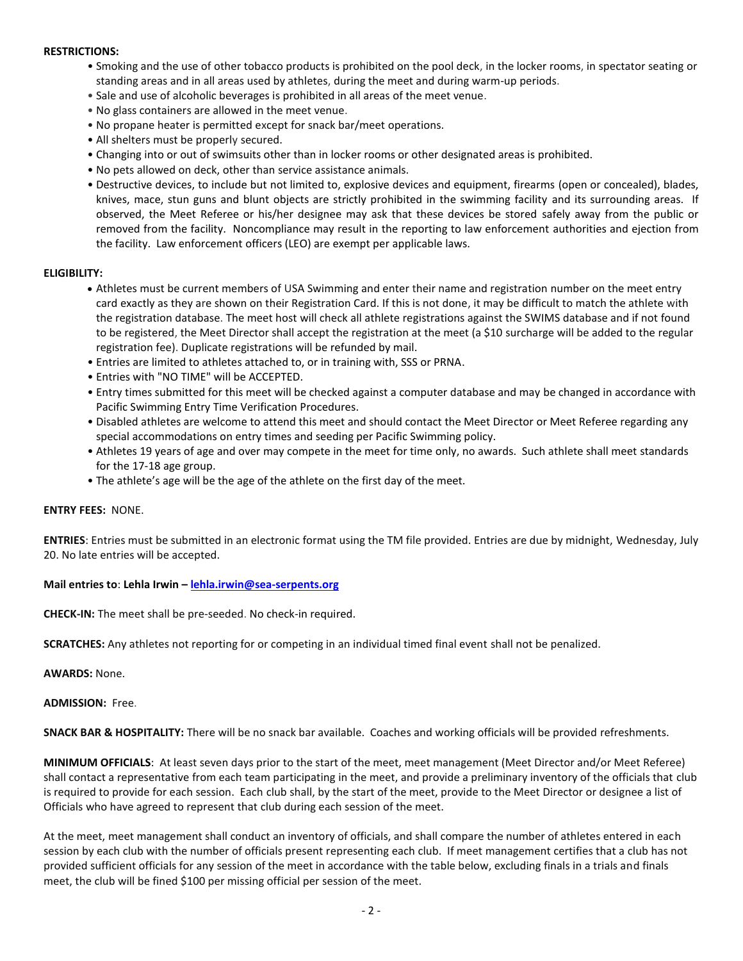### **RESTRICTIONS:**

- Smoking and the use of other tobacco products is prohibited on the pool deck, in the locker rooms, in spectator seating or standing areas and in all areas used by athletes, during the meet and during warm-up periods.
- Sale and use of alcoholic beverages is prohibited in all areas of the meet venue.
- No glass containers are allowed in the meet venue.
- No propane heater is permitted except for snack bar/meet operations.
- All shelters must be properly secured.
- Changing into or out of swimsuits other than in locker rooms or other designated areas is prohibited.
- No pets allowed on deck, other than service assistance animals.
- Destructive devices, to include but not limited to, explosive devices and equipment, firearms (open or concealed), blades, knives, mace, stun guns and blunt objects are strictly prohibited in the swimming facility and its surrounding areas. If observed, the Meet Referee or his/her designee may ask that these devices be stored safely away from the public or removed from the facility. Noncompliance may result in the reporting to law enforcement authorities and ejection from the facility. Law enforcement officers (LEO) are exempt per applicable laws.

### **ELIGIBILITY:**

- Athletes must be current members of USA Swimming and enter their name and registration number on the meet entry card exactly as they are shown on their Registration Card. If this is not done, it may be difficult to match the athlete with the registration database. The meet host will check all athlete registrations against the SWIMS database and if not found to be registered, the Meet Director shall accept the registration at the meet (a \$10 surcharge will be added to the regular registration fee). Duplicate registrations will be refunded by mail.
- Entries are limited to athletes attached to, or in training with, SSS or PRNA.
- Entries with "NO TIME" will be ACCEPTED.
- Entry times submitted for this meet will be checked against a computer database and may be changed in accordance with Pacific Swimming Entry Time Verification Procedures.
- Disabled athletes are welcome to attend this meet and should contact the Meet Director or Meet Referee regarding any special accommodations on entry times and seeding per Pacific Swimming policy.
- Athletes 19 years of age and over may compete in the meet for time only, no awards. Such athlete shall meet standards for the 17-18 age group.
- The athlete's age will be the age of the athlete on the first day of the meet.

#### **ENTRY FEES:** NONE.

**ENTRIES**: Entries must be submitted in an electronic format using the TM file provided. Entries are due by midnight, Wednesday, July 20. No late entries will be accepted.

#### **Mail entries to**: **Lehla Irwin – [lehla.irwin@sea-serpents.org](mailto:lehla.irwin@sea-serpents.org)**

**CHECK-IN:** The meet shall be pre-seeded. No check-in required.

**SCRATCHES:** Any athletes not reporting for or competing in an individual timed final event shall not be penalized.

**AWARDS:** None.

**ADMISSION:** Free.

**SNACK BAR & HOSPITALITY:** There will be no snack bar available. Coaches and working officials will be provided refreshments.

**MINIMUM OFFICIALS**: At least seven days prior to the start of the meet, meet management (Meet Director and/or Meet Referee) shall contact a representative from each team participating in the meet, and provide a preliminary inventory of the officials that club is required to provide for each session. Each club shall, by the start of the meet, provide to the Meet Director or designee a list of Officials who have agreed to represent that club during each session of the meet.

At the meet, meet management shall conduct an inventory of officials, and shall compare the number of athletes entered in each session by each club with the number of officials present representing each club. If meet management certifies that a club has not provided sufficient officials for any session of the meet in accordance with the table below, excluding finals in a trials and finals meet, the club will be fined \$100 per missing official per session of the meet.